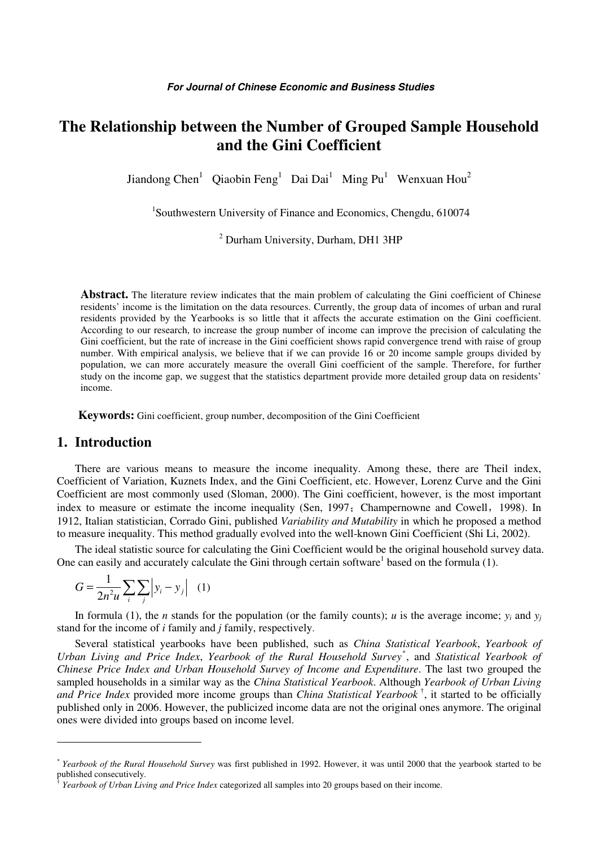# **The Relationship between the Number of Grouped Sample Household and the Gini Coefficient**

Jiandong Chen<sup>1</sup> Qiaobin Feng<sup>1</sup> Dai Dai<sup>1</sup> Ming Pu<sup>1</sup> Wenxuan Hou<sup>2</sup>

1 Southwestern University of Finance and Economics, Chengdu, 610074

<sup>2</sup> Durham University, Durham, DH1 3HP

Abstract. The literature review indicates that the main problem of calculating the Gini coefficient of Chinese residents' income is the limitation on the data resources. Currently, the group data of incomes of urban and rural residents provided by the Yearbooks is so little that it affects the accurate estimation on the Gini coefficient. According to our research, to increase the group number of income can improve the precision of calculating the Gini coefficient, but the rate of increase in the Gini coefficient shows rapid convergence trend with raise of group number. With empirical analysis, we believe that if we can provide 16 or 20 income sample groups divided by population, we can more accurately measure the overall Gini coefficient of the sample. Therefore, for further study on the income gap, we suggest that the statistics department provide more detailed group data on residents' income.

**Keywords:** Gini coefficient, group number, decomposition of the Gini Coefficient

### **1. Introduction**

 $\overline{a}$ 

There are various means to measure the income inequality. Among these, there are Theil index, Coefficient of Variation, Kuznets Index, and the Gini Coefficient, etc. However, Lorenz Curve and the Gini Coefficient are most commonly used (Sloman, 2000). The Gini coefficient, however, is the most important index to measure or estimate the income inequality (Sen, 1997; Champernowne and Cowell, 1998). In 1912, Italian statistician, Corrado Gini, published *Variability and Mutability* in which he proposed a method to measure inequality. This method gradually evolved into the well-known Gini Coefficient (Shi Li, 2002).

The ideal statistic source for calculating the Gini Coefficient would be the original household survey data. One can easily and accurately calculate the Gini through certain software<sup>1</sup> based on the formula  $(1)$ .

$$
G = \frac{1}{2n^2 u} \sum_{i} \sum_{j} \left| y_i - y_j \right| \quad (1)
$$

In formula (1), the *n* stands for the population (or the family counts); *u* is the average income;  $y_i$  and  $y_j$ stand for the income of *i* family and *j* family, respectively.

Several statistical yearbooks have been published, such as *China Statistical Yearbook*, *Yearbook of Urban Living and Price Index*, *Yearbook of the Rural Household Survey*\* , and *Statistical Yearbook of Chinese Price Index and Urban Household Survey of Income and Expenditure*. The last two grouped the sampled households in a similar way as the *China Statistical Yearbook*. Although *Yearbook of Urban Living and Price Index* provided more income groups than *China Statistical Yearbook* † , it started to be officially published only in 2006. However, the publicized income data are not the original ones anymore. The original ones were divided into groups based on income level.

<sup>\*</sup> *Yearbook of the Rural Household Survey* was first published in 1992. However, it was until 2000 that the yearbook started to be published consecutively.<br><sup>†</sup> Kearbook of Urban Livi

*Yearbook of Urban Living and Price Index* categorized all samples into 20 groups based on their income.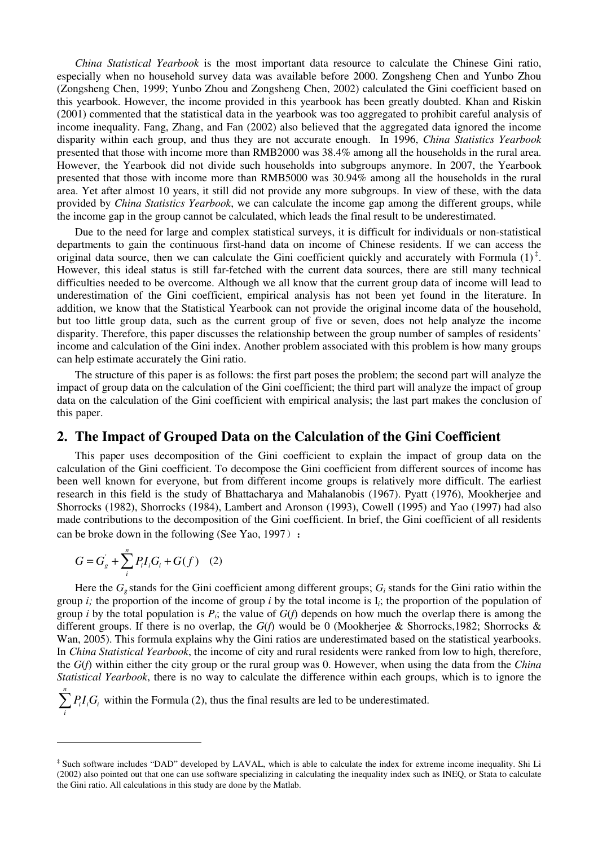*China Statistical Yearbook* is the most important data resource to calculate the Chinese Gini ratio, especially when no household survey data was available before 2000. Zongsheng Chen and Yunbo Zhou (Zongsheng Chen, 1999; Yunbo Zhou and Zongsheng Chen, 2002) calculated the Gini coefficient based on this yearbook. However, the income provided in this yearbook has been greatly doubted. Khan and Riskin (2001) commented that the statistical data in the yearbook was too aggregated to prohibit careful analysis of income inequality. Fang, Zhang, and Fan (2002) also believed that the aggregated data ignored the income disparity within each group, and thus they are not accurate enough. In 1996, *China Statistics Yearbook* presented that those with income more than RMB2000 was 38.4% among all the households in the rural area. However, the Yearbook did not divide such households into subgroups anymore. In 2007, the Yearbook presented that those with income more than RMB5000 was 30.94% among all the households in the rural area. Yet after almost 10 years, it still did not provide any more subgroups. In view of these, with the data provided by *China Statistics Yearbook*, we can calculate the income gap among the different groups, while the income gap in the group cannot be calculated, which leads the final result to be underestimated.

Due to the need for large and complex statistical surveys, it is difficult for individuals or non-statistical departments to gain the continuous first-hand data on income of Chinese residents. If we can access the original data source, then we can calculate the Gini coefficient quickly and accurately with Formula  $(1)^{\ddagger}$ . However, this ideal status is still far-fetched with the current data sources, there are still many technical difficulties needed to be overcome. Although we all know that the current group data of income will lead to underestimation of the Gini coefficient, empirical analysis has not been yet found in the literature. In addition, we know that the Statistical Yearbook can not provide the original income data of the household, but too little group data, such as the current group of five or seven, does not help analyze the income disparity. Therefore, this paper discusses the relationship between the group number of samples of residents' income and calculation of the Gini index. Another problem associated with this problem is how many groups can help estimate accurately the Gini ratio.

The structure of this paper is as follows: the first part poses the problem; the second part will analyze the impact of group data on the calculation of the Gini coefficient; the third part will analyze the impact of group data on the calculation of the Gini coefficient with empirical analysis; the last part makes the conclusion of this paper.

### **2. The Impact of Grouped Data on the Calculation of the Gini Coefficient**

This paper uses decomposition of the Gini coefficient to explain the impact of group data on the calculation of the Gini coefficient. To decompose the Gini coefficient from different sources of income has been well known for everyone, but from different income groups is relatively more difficult. The earliest research in this field is the study of Bhattacharya and Mahalanobis (1967). Pyatt (1976), Mookherjee and Shorrocks (1982), Shorrocks (1984), Lambert and Aronson (1993), Cowell (1995) and Yao (1997) had also made contributions to the decomposition of the Gini coefficient. In brief, the Gini coefficient of all residents can be broke down in the following (See Yao, 1997):

$$
G = G_g^{'} + \sum_{i}^{n} P_i I_i G_i + G(f) \quad (2)
$$

 $\overline{a}$ 

Here the  $G_g$  stands for the Gini coefficient among different groups;  $G_i$  stands for the Gini ratio within the group *i*; the proportion of the income of group *i* by the total income is  $I_i$ ; the proportion of the population of group *i* by the total population is  $P_i$ ; the value of  $G(f)$  depends on how much the overlap there is among the different groups. If there is no overlap, the *G*(*f*) would be 0 (Mookherjee & Shorrocks,1982; Shorrocks & Wan, 2005). This formula explains why the Gini ratios are underestimated based on the statistical yearbooks. In *China Statistical Yearbook*, the income of city and rural residents were ranked from low to high, therefore, the *G*(*f*) within either the city group or the rural group was 0. However, when using the data from the *China Statistical Yearbook*, there is no way to calculate the difference within each groups, which is to ignore the

*n*  $\sum_{i=1}^{n} P_i I_i G_i$  within the Formula (2), thus the final results are led to be underestimated. *i*

<sup>‡</sup> Such software includes "DAD" developed by LAVAL, which is able to calculate the index for extreme income inequality. Shi Li (2002) also pointed out that one can use software specializing in calculating the inequality index such as INEQ, or Stata to calculate the Gini ratio. All calculations in this study are done by the Matlab.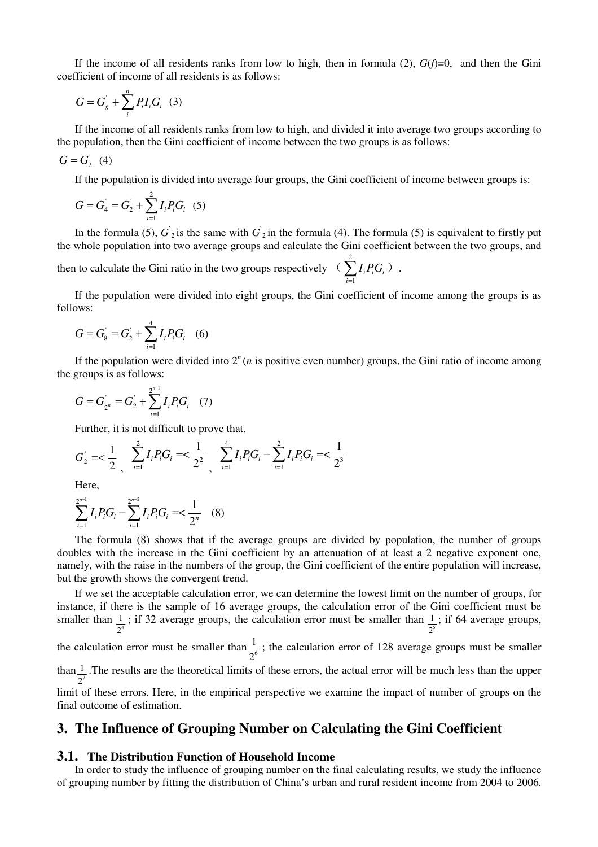If the income of all residents ranks from low to high, then in formula  $(2)$ ,  $G(f)=0$ , and then the Gini coefficient of income of all residents is as follows:

$$
G = G'_{g} + \sum_{i}^{n} P_{i} I_{i} G_{i} \quad (3)
$$

If the income of all residents ranks from low to high, and divided it into average two groups according to the population, then the Gini coefficient of income between the two groups is as follows:

$$
G = G_2 \quad (4)
$$

If the population is divided into average four groups, the Gini coefficient of income between groups is:

$$
G = G_4 = G_2 + \sum_{i=1}^{2} I_i P_i G_i \quad (5)
$$

In the formula (5),  $G_2$  is the same with  $G_2$  in the formula (4). The formula (5) is equivalent to firstly put the whole population into two average groups and calculate the Gini coefficient between the two groups, and then to calculate the Gini ratio in the two groups respectively  $\left(\right)$  $i^I i^U_i$ *I PG*  $\sum I_i P_i G_i$ ).

If the population were divided into eight groups, the Gini coefficient of income among the groups is as follows:

1

=

*i*

$$
G = G_8 = G_2' + \sum_{i=1}^{4} I_i P_i G_i \quad (6)
$$

If the population were divided into  $2<sup>n</sup>(n)$  is positive even number) groups, the Gini ratio of income among the groups is as follows:

$$
G = G_{2^n} = G_2 + \sum_{i=1}^{2^{n-1}} I_i P_i G_i \quad (7)
$$

Further, it is not difficult to prove that,

$$
G_2 = \frac{1}{2} \sum_{i=1}^{2} I_i P_i G_i = \frac{1}{2^2} \sum_{i=1}^{4} I_i P_i G_i - \sum_{i=1}^{2} I_i P_i G_i = \frac{1}{2^3}
$$

Here,

$$
\sum_{i=1}^{2^{n-1}} I_i P_i G_i - \sum_{i=1}^{2^{n-2}} I_i P_i G_i = \frac{1}{2^n} \quad (8)
$$

The formula (8) shows that if the average groups are divided by population, the number of groups doubles with the increase in the Gini coefficient by an attenuation of at least a 2 negative exponent one, namely, with the raise in the numbers of the group, the Gini coefficient of the entire population will increase, but the growth shows the convergent trend.

If we set the acceptable calculation error, we can determine the lowest limit on the number of groups, for instance, if there is the sample of 16 average groups, the calculation error of the Gini coefficient must be smaller than  $\frac{1}{2^4}$ 2 ; if 32 average groups, the calculation error must be smaller than  $\frac{1}{2^5}$ 2 ; if 64 average groups,

the calculation error must be smaller than  $\frac{1}{2^6}$  $\frac{1}{6}$ ; the calculation error of 128 average groups must be smaller 2

than  $\frac{1}{2}$ 2 .The results are the theoretical limits of these errors, the actual error will be much less than the upper limit of these errors. Here, in the empirical perspective we examine the impact of number of groups on the

final outcome of estimation.

## **3. The Influence of Grouping Number on Calculating the Gini Coefficient**

#### **3.1. The Distribution Function of Household Income**

In order to study the influence of grouping number on the final calculating results, we study the influence of grouping number by fitting the distribution of China's urban and rural resident income from 2004 to 2006.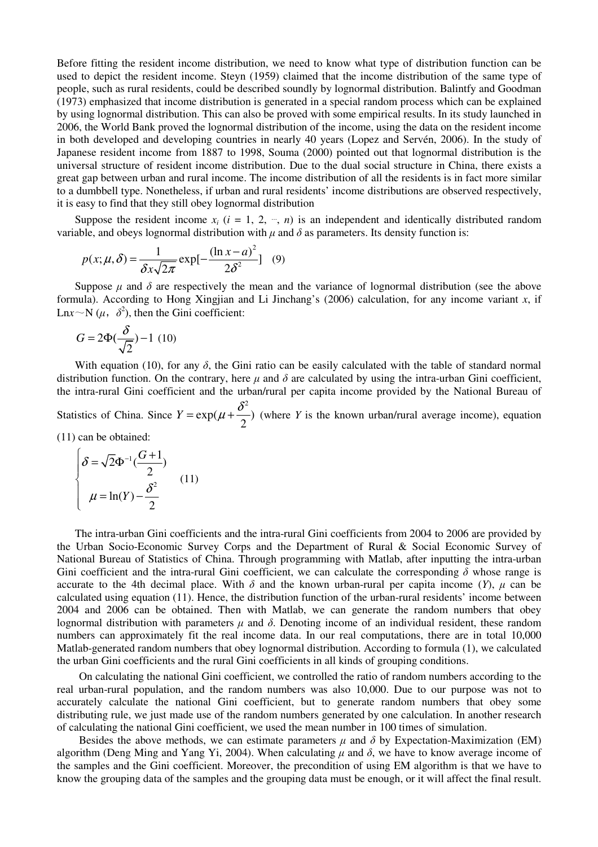Before fitting the resident income distribution, we need to know what type of distribution function can be used to depict the resident income. Steyn (1959) claimed that the income distribution of the same type of people, such as rural residents, could be described soundly by lognormal distribution. Balintfy and Goodman (1973) emphasized that income distribution is generated in a special random process which can be explained by using lognormal distribution. This can also be proved with some empirical results. In its study launched in 2006, the World Bank proved the lognormal distribution of the income, using the data on the resident income in both developed and developing countries in nearly 40 years (Lopez and Servén, 2006). In the study of Japanese resident income from 1887 to 1998, Souma (2000) pointed out that lognormal distribution is the universal structure of resident income distribution. Due to the dual social structure in China, there exists a great gap between urban and rural income. The income distribution of all the residents is in fact more similar to a dumbbell type. Nonetheless, if urban and rural residents' income distributions are observed respectively, it is easy to find that they still obey lognormal distribution

Suppose the resident income  $x_i$  ( $i = 1, 2, ..., n$ ) is an independent and identically distributed random variable, and obeys lognormal distribution with  $\mu$  and  $\delta$  as parameters. Its density function is:

$$
p(x; \mu, \delta) = \frac{1}{\delta x \sqrt{2\pi}} \exp[-\frac{(\ln x - a)^2}{2\delta^2}] \quad (9)
$$

Suppose  $\mu$  and  $\delta$  are respectively the mean and the variance of lognormal distribution (see the above formula). According to Hong Xingjian and Li Jinchang's (2006) calculation, for any income variant *x*, if Ln*x* $\sim$ N ( $\mu$ ,  $\delta^2$ ), then the Gini coefficient:

$$
G = 2\Phi(\frac{\delta}{\sqrt{2}}) - 1 \tag{10}
$$

With equation (10), for any  $\delta$ , the Gini ratio can be easily calculated with the table of standard normal distribution function. On the contrary, here  $\mu$  and  $\delta$  are calculated by using the intra-urban Gini coefficient, the intra-rural Gini coefficient and the urban/rural per capita income provided by the National Bureau of

Statistics of China. Since 2  $\exp(\mu + \frac{b}{2})$ 2  $Y = \exp(\mu + \frac{\delta^2}{2})$  (where *Y* is the known urban/rural average income), equation

(11) can be obtained:

$$
\begin{cases}\n\delta = \sqrt{2}\Phi^{-1}(\frac{G+1}{2}) \\
\mu = \ln(Y) - \frac{\delta^2}{2}\n\end{cases}
$$
\n(11)

The intra-urban Gini coefficients and the intra-rural Gini coefficients from 2004 to 2006 are provided by the Urban Socio-Economic Survey Corps and the Department of Rural & Social Economic Survey of National Bureau of Statistics of China. Through programming with Matlab, after inputting the intra-urban Gini coefficient and the intra-rural Gini coefficient, we can calculate the corresponding  $\delta$  whose range is accurate to the 4th decimal place. With  $\delta$  and the known urban-rural per capita income (*Y*),  $\mu$  can be calculated using equation (11). Hence, the distribution function of the urban-rural residents' income between 2004 and 2006 can be obtained. Then with Matlab, we can generate the random numbers that obey lognormal distribution with parameters  $\mu$  and  $\delta$ . Denoting income of an individual resident, these random numbers can approximately fit the real income data. In our real computations, there are in total 10,000 Matlab-generated random numbers that obey lognormal distribution. According to formula (1), we calculated the urban Gini coefficients and the rural Gini coefficients in all kinds of grouping conditions.

On calculating the national Gini coefficient, we controlled the ratio of random numbers according to the real urban-rural population, and the random numbers was also 10,000. Due to our purpose was not to accurately calculate the national Gini coefficient, but to generate random numbers that obey some distributing rule, we just made use of the random numbers generated by one calculation. In another research of calculating the national Gini coefficient, we used the mean number in 100 times of simulation.

Besides the above methods, we can estimate parameters  $\mu$  and  $\delta$  by Expectation-Maximization (EM) algorithm (Deng Ming and Yang Yi, 2004). When calculating  $\mu$  and  $\delta$ , we have to know average income of the samples and the Gini coefficient. Moreover, the precondition of using EM algorithm is that we have to know the grouping data of the samples and the grouping data must be enough, or it will affect the final result.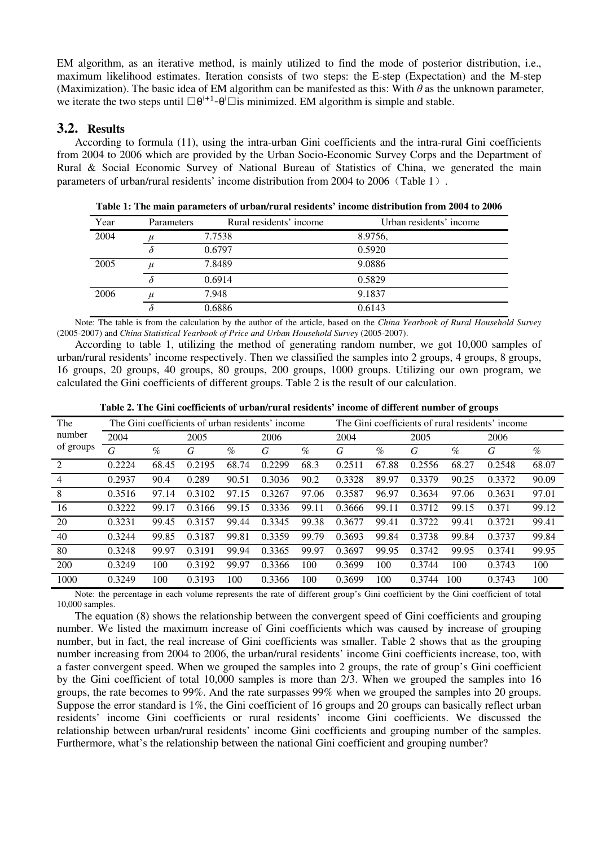EM algorithm, as an iterative method, is mainly utilized to find the mode of posterior distribution, i.e., maximum likelihood estimates. Iteration consists of two steps: the E-step (Expectation) and the M-step (Maximization). The basic idea of EM algorithm can be manifested as this: With  $\theta$  as the unknown parameter, we iterate the two steps until  $\theta^{i+1}-\theta^i$  is minimized. EM algorithm is simple and stable.

### **3.2. Results**

According to formula (11), using the intra-urban Gini coefficients and the intra-rural Gini coefficients from 2004 to 2006 which are provided by the Urban Socio-Economic Survey Corps and the Department of Rural & Social Economic Survey of National Bureau of Statistics of China, we generated the main parameters of urban/rural residents' income distribution from 2004 to 2006 (Table 1).

| Year | Parameters | Rural residents' income | Urban residents' income |
|------|------------|-------------------------|-------------------------|
| 2004 | $\mu$      | 7.7538                  | 8.9756,                 |
|      |            | 0.6797                  | 0.5920                  |
| 2005 | $\mu$      | 7.8489                  | 9.0886                  |
|      |            | 0.6914                  | 0.5829                  |
| 2006 | $\mu$      | 7.948                   | 9.1837                  |
|      |            | 0.6886                  | 0.6143                  |

**Table 1: The main parameters of urban/rural residents' income distribution from 2004 to 2006** 

Note: The table is from the calculation by the author of the article, based on the *China Yearbook of Rural Household Survey*  (2005-2007) and *China Statistical Yearbook of Price and Urban Household Survey* (2005-2007).

According to table 1, utilizing the method of generating random number, we got 10,000 samples of urban/rural residents' income respectively. Then we classified the samples into 2 groups, 4 groups, 8 groups, 16 groups, 20 groups, 40 groups, 80 groups, 200 groups, 1000 groups. Utilizing our own program, we calculated the Gini coefficients of different groups. Table 2 is the result of our calculation.

| The                 | The Gini coefficients of urban residents' income |       |        |       |        | The Gini coefficients of rural residents' income |        |       |        |       |        |       |
|---------------------|--------------------------------------------------|-------|--------|-------|--------|--------------------------------------------------|--------|-------|--------|-------|--------|-------|
| number<br>of groups | 2004                                             |       | 2005   |       | 2006   |                                                  | 2004   |       | 2005   |       | 2006   |       |
|                     | G                                                | $\%$  | G      | $\%$  | G      | $\%$                                             | G      | $\%$  | G      | $\%$  | G      | $\%$  |
| 2                   | 0.2224                                           | 68.45 | 0.2195 | 68.74 | 0.2299 | 68.3                                             | 0.2511 | 67.88 | 0.2556 | 68.27 | 0.2548 | 68.07 |
| $\overline{4}$      | 0.2937                                           | 90.4  | 0.289  | 90.51 | 0.3036 | 90.2                                             | 0.3328 | 89.97 | 0.3379 | 90.25 | 0.3372 | 90.09 |
| 8                   | 0.3516                                           | 97.14 | 0.3102 | 97.15 | 0.3267 | 97.06                                            | 0.3587 | 96.97 | 0.3634 | 97.06 | 0.3631 | 97.01 |
| 16                  | 0.3222                                           | 99.17 | 0.3166 | 99.15 | 0.3336 | 99.11                                            | 0.3666 | 99.11 | 0.3712 | 99.15 | 0.371  | 99.12 |
| 20                  | 0.3231                                           | 99.45 | 0.3157 | 99.44 | 0.3345 | 99.38                                            | 0.3677 | 99.41 | 0.3722 | 99.41 | 0.3721 | 99.41 |
| 40                  | 0.3244                                           | 99.85 | 0.3187 | 99.81 | 0.3359 | 99.79                                            | 0.3693 | 99.84 | 0.3738 | 99.84 | 0.3737 | 99.84 |
| 80                  | 0.3248                                           | 99.97 | 0.3191 | 99.94 | 0.3365 | 99.97                                            | 0.3697 | 99.95 | 0.3742 | 99.95 | 0.3741 | 99.95 |
| 200                 | 0.3249                                           | 100   | 0.3192 | 99.97 | 0.3366 | 100                                              | 0.3699 | 100   | 0.3744 | 100   | 0.3743 | 100   |
| 1000                | 0.3249                                           | 100   | 0.3193 | 100   | 0.3366 | 100                                              | 0.3699 | 100   | 0.3744 | 100   | 0.3743 | 100   |

**Table 2. The Gini coefficients of urban/rural residents' income of different number of groups** 

Note: the percentage in each volume represents the rate of different group's Gini coefficient by the Gini coefficient of total 10,000 samples.

The equation (8) shows the relationship between the convergent speed of Gini coefficients and grouping number. We listed the maximum increase of Gini coefficients which was caused by increase of grouping number, but in fact, the real increase of Gini coefficients was smaller. Table 2 shows that as the grouping number increasing from 2004 to 2006, the urban/rural residents' income Gini coefficients increase, too, with a faster convergent speed. When we grouped the samples into 2 groups, the rate of group's Gini coefficient by the Gini coefficient of total 10,000 samples is more than 2/3. When we grouped the samples into 16 groups, the rate becomes to 99%. And the rate surpasses 99% when we grouped the samples into 20 groups. Suppose the error standard is 1%, the Gini coefficient of 16 groups and 20 groups can basically reflect urban residents' income Gini coefficients or rural residents' income Gini coefficients. We discussed the relationship between urban/rural residents' income Gini coefficients and grouping number of the samples. Furthermore, what's the relationship between the national Gini coefficient and grouping number?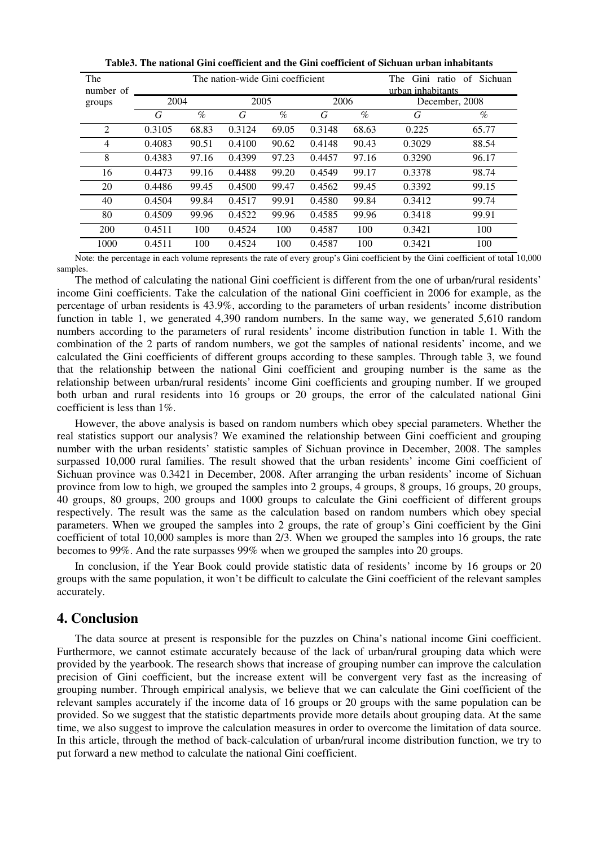| The<br>number of |        |       | The nation-wide Gini coefficient | The<br>Gini ratio of<br>urban inhabitants | Sichuan |       |                |       |  |
|------------------|--------|-------|----------------------------------|-------------------------------------------|---------|-------|----------------|-------|--|
| groups           | 2004   |       | 2005                             |                                           | 2006    |       | December, 2008 |       |  |
|                  | G      | $\%$  | G                                | $\%$                                      | G       | $\%$  | G              | $\%$  |  |
| 2                | 0.3105 | 68.83 | 0.3124                           | 69.05                                     | 0.3148  | 68.63 | 0.225          | 65.77 |  |
| $\overline{4}$   | 0.4083 | 90.51 | 0.4100                           | 90.62                                     | 0.4148  | 90.43 | 0.3029         | 88.54 |  |
| 8                | 0.4383 | 97.16 | 0.4399                           | 97.23                                     | 0.4457  | 97.16 | 0.3290         | 96.17 |  |
| 16               | 0.4473 | 99.16 | 0.4488                           | 99.20                                     | 0.4549  | 99.17 | 0.3378         | 98.74 |  |
| 20               | 0.4486 | 99.45 | 0.4500                           | 99.47                                     | 0.4562  | 99.45 | 0.3392         | 99.15 |  |
| 40               | 0.4504 | 99.84 | 0.4517                           | 99.91                                     | 0.4580  | 99.84 | 0.3412         | 99.74 |  |
| 80               | 0.4509 | 99.96 | 0.4522                           | 99.96                                     | 0.4585  | 99.96 | 0.3418         | 99.91 |  |
| 200              | 0.4511 | 100   | 0.4524                           | 100                                       | 0.4587  | 100   | 0.3421         | 100   |  |
| 1000             | 0.4511 | 100   | 0.4524                           | 100                                       | 0.4587  | 100   | 0.3421         | 100   |  |

**Table3. The national Gini coefficient and the Gini coefficient of Sichuan urban inhabitants** 

Note: the percentage in each volume represents the rate of every group's Gini coefficient by the Gini coefficient of total 10,000 samples.

The method of calculating the national Gini coefficient is different from the one of urban/rural residents' income Gini coefficients. Take the calculation of the national Gini coefficient in 2006 for example, as the percentage of urban residents is 43.9%, according to the parameters of urban residents' income distribution function in table 1, we generated 4,390 random numbers. In the same way, we generated 5,610 random numbers according to the parameters of rural residents' income distribution function in table 1. With the combination of the 2 parts of random numbers, we got the samples of national residents' income, and we calculated the Gini coefficients of different groups according to these samples. Through table 3, we found that the relationship between the national Gini coefficient and grouping number is the same as the relationship between urban/rural residents' income Gini coefficients and grouping number. If we grouped both urban and rural residents into 16 groups or 20 groups, the error of the calculated national Gini coefficient is less than 1%.

However, the above analysis is based on random numbers which obey special parameters. Whether the real statistics support our analysis? We examined the relationship between Gini coefficient and grouping number with the urban residents' statistic samples of Sichuan province in December, 2008. The samples surpassed 10,000 rural families. The result showed that the urban residents' income Gini coefficient of Sichuan province was 0.3421 in December, 2008. After arranging the urban residents' income of Sichuan province from low to high, we grouped the samples into 2 groups, 4 groups, 8 groups, 16 groups, 20 groups, 40 groups, 80 groups, 200 groups and 1000 groups to calculate the Gini coefficient of different groups respectively. The result was the same as the calculation based on random numbers which obey special parameters. When we grouped the samples into 2 groups, the rate of group's Gini coefficient by the Gini coefficient of total 10,000 samples is more than 2/3. When we grouped the samples into 16 groups, the rate becomes to 99%. And the rate surpasses 99% when we grouped the samples into 20 groups.

In conclusion, if the Year Book could provide statistic data of residents' income by 16 groups or 20 groups with the same population, it won't be difficult to calculate the Gini coefficient of the relevant samples accurately.

### **4. Conclusion**

The data source at present is responsible for the puzzles on China's national income Gini coefficient. Furthermore, we cannot estimate accurately because of the lack of urban/rural grouping data which were provided by the yearbook. The research shows that increase of grouping number can improve the calculation precision of Gini coefficient, but the increase extent will be convergent very fast as the increasing of grouping number. Through empirical analysis, we believe that we can calculate the Gini coefficient of the relevant samples accurately if the income data of 16 groups or 20 groups with the same population can be provided. So we suggest that the statistic departments provide more details about grouping data. At the same time, we also suggest to improve the calculation measures in order to overcome the limitation of data source. In this article, through the method of back-calculation of urban/rural income distribution function, we try to put forward a new method to calculate the national Gini coefficient.